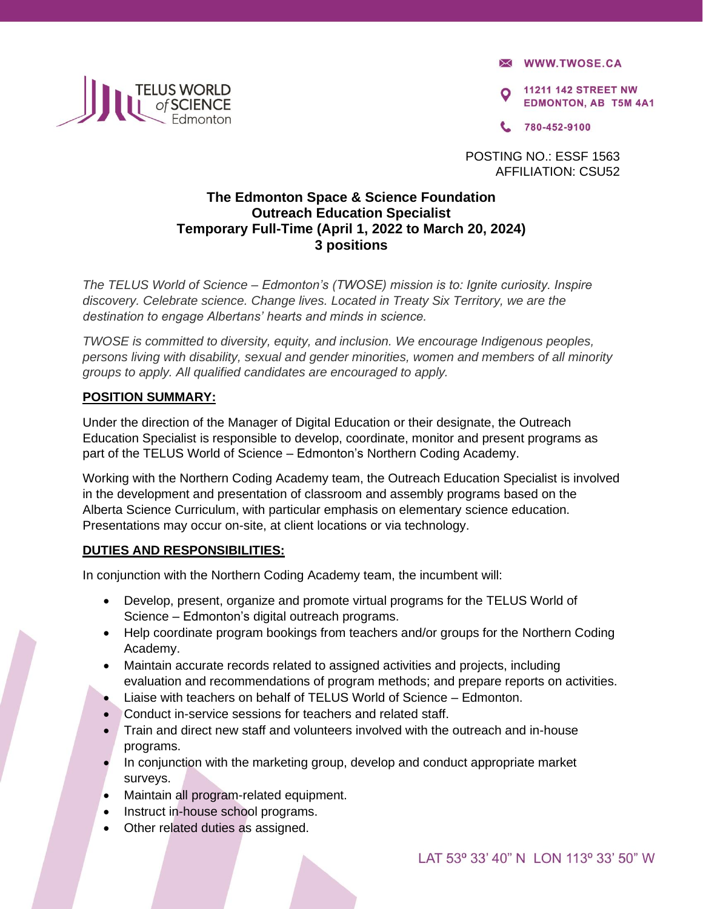**X WWW.TWOSE.CA** 

**11211 142 STREET NW EDMONTON, AB T5M 4A1** 

780-452-9100

POSTING NO.: ESSF 1563 AFFILIATION: CSU52

# **The Edmonton Space & Science Foundation Outreach Education Specialist Temporary Full-Time (April 1, 2022 to March 20, 2024) 3 positions**

*The TELUS World of Science – Edmonton's (TWOSE) mission is to: Ignite curiosity. Inspire discovery. Celebrate science. Change lives. Located in Treaty Six Territory, we are the destination to engage Albertans' hearts and minds in science.* 

*TWOSE is committed to diversity, equity, and inclusion. We encourage Indigenous peoples, persons living with disability, sexual and gender minorities, women and members of all minority groups to apply. All qualified candidates are encouraged to apply.* 

## **POSITION SUMMARY:**

Under the direction of the Manager of Digital Education or their designate, the Outreach Education Specialist is responsible to develop, coordinate, monitor and present programs as part of the TELUS World of Science – Edmonton's Northern Coding Academy.

Working with the Northern Coding Academy team, the Outreach Education Specialist is involved in the development and presentation of classroom and assembly programs based on the Alberta Science Curriculum, with particular emphasis on elementary science education. Presentations may occur on-site, at client locations or via technology.

## **DUTIES AND RESPONSIBILITIES:**

In conjunction with the Northern Coding Academy team, the incumbent will:

- Develop, present, organize and promote virtual programs for the TELUS World of Science – Edmonton's digital outreach programs.
- Help coordinate program bookings from teachers and/or groups for the Northern Coding Academy.
- Maintain accurate records related to assigned activities and projects, including evaluation and recommendations of program methods; and prepare reports on activities.
- Liaise with teachers on behalf of TELUS World of Science Edmonton.
- Conduct in-service sessions for teachers and related staff.
- Train and direct new staff and volunteers involved with the outreach and in-house programs.
- In conjunction with the marketing group, develop and conduct appropriate market surveys.
- Maintain all program-related equipment.
- Instruct in-house school programs.
- Other related duties as assigned.